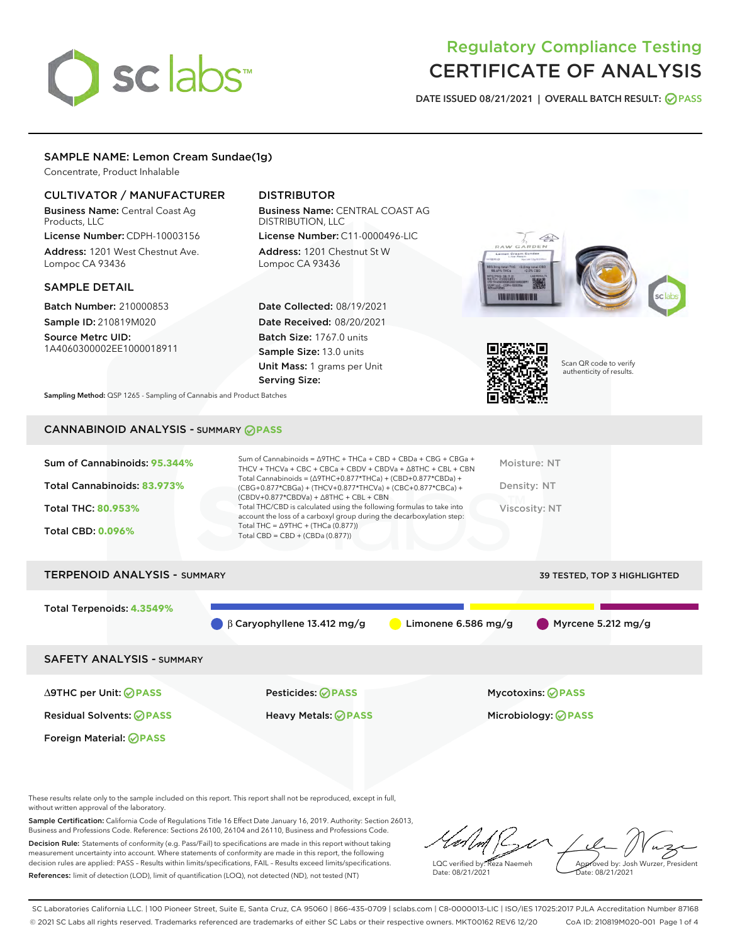# sclabs<sup>\*</sup>

# Regulatory Compliance Testing CERTIFICATE OF ANALYSIS

DATE ISSUED 08/21/2021 | OVERALL BATCH RESULT: @ PASS

# SAMPLE NAME: Lemon Cream Sundae(1g)

Concentrate, Product Inhalable

# CULTIVATOR / MANUFACTURER

Business Name: Central Coast Ag Products, LLC

License Number: CDPH-10003156 Address: 1201 West Chestnut Ave. Lompoc CA 93436

# SAMPLE DETAIL

Batch Number: 210000853 Sample ID: 210819M020

Source Metrc UID: 1A4060300002EE1000018911

# DISTRIBUTOR

Business Name: CENTRAL COAST AG DISTRIBUTION, LLC License Number: C11-0000496-LIC

Address: 1201 Chestnut St W Lompoc CA 93436

Date Collected: 08/19/2021 Date Received: 08/20/2021 Batch Size: 1767.0 units Sample Size: 13.0 units Unit Mass: 1 grams per Unit Serving Size:





Scan QR code to verify authenticity of results.

Sampling Method: QSP 1265 - Sampling of Cannabis and Product Batches

# CANNABINOID ANALYSIS - SUMMARY **PASS**

| Sum of Cannabinoids: 95.344% | Sum of Cannabinoids = $\triangle$ 9THC + THCa + CBD + CBDa + CBG + CBGa +<br>THCV + THCVa + CBC + CBCa + CBDV + CBDVa + $\triangle$ 8THC + CBL + CBN                                 | Moisture: NT  |
|------------------------------|--------------------------------------------------------------------------------------------------------------------------------------------------------------------------------------|---------------|
| Total Cannabinoids: 83.973%  | Total Cannabinoids = $(\Delta$ 9THC+0.877*THCa) + (CBD+0.877*CBDa) +<br>(CBG+0.877*CBGa) + (THCV+0.877*THCVa) + (CBC+0.877*CBCa) +<br>$(CBDV+0.877*CBDVa) + \Delta 8THC + CBL + CBN$ | Density: NT   |
| <b>Total THC: 80.953%</b>    | Total THC/CBD is calculated using the following formulas to take into<br>account the loss of a carboxyl group during the decarboxylation step:                                       | Viscosity: NT |
| <b>Total CBD: 0.096%</b>     | Total THC = $\triangle$ 9THC + (THCa (0.877))<br>Total CBD = $CBD + (CBDa (0.877))$                                                                                                  |               |
|                              |                                                                                                                                                                                      |               |

| <b>TERPENOID ANALYSIS - SUMMARY</b> |                                              |                     | 39 TESTED, TOP 3 HIGHLIGHTED  |
|-------------------------------------|----------------------------------------------|---------------------|-------------------------------|
| Total Terpenoids: 4.3549%           |                                              |                     |                               |
|                                     | $\bigcirc$ $\beta$ Caryophyllene 13.412 mg/g | Limonene 6.586 mg/g | $\bigcirc$ Myrcene 5.212 mg/g |
| <b>SAFETY ANALYSIS - SUMMARY</b>    |                                              |                     |                               |
|                                     |                                              |                     |                               |

Foreign Material: **PASS**

Residual Solvents: **PASS** Heavy Metals: **PASS** Microbiology: **PASS**

∆9THC per Unit: **PASS** Pesticides: **PASS** Mycotoxins: **PASS**

These results relate only to the sample included on this report. This report shall not be reproduced, except in full, without written approval of the laboratory.

Sample Certification: California Code of Regulations Title 16 Effect Date January 16, 2019. Authority: Section 26013, Business and Professions Code. Reference: Sections 26100, 26104 and 26110, Business and Professions Code. Decision Rule: Statements of conformity (e.g. Pass/Fail) to specifications are made in this report without taking measurement uncertainty into account. Where statements of conformity are made in this report, the following decision rules are applied: PASS – Results within limits/specifications, FAIL – Results exceed limits/specifications.

References: limit of detection (LOD), limit of quantification (LOQ), not detected (ND), not tested (NT)

LQC verified by: Reza Naemeh Date: 08/21/2021 Approved by: Josh Wurzer, President Date: 08/21/2021

SC Laboratories California LLC. | 100 Pioneer Street, Suite E, Santa Cruz, CA 95060 | 866-435-0709 | sclabs.com | C8-0000013-LIC | ISO/IES 17025:2017 PJLA Accreditation Number 87168 © 2021 SC Labs all rights reserved. Trademarks referenced are trademarks of either SC Labs or their respective owners. MKT00162 REV6 12/20 CoA ID: 210819M020-001 Page 1 of 4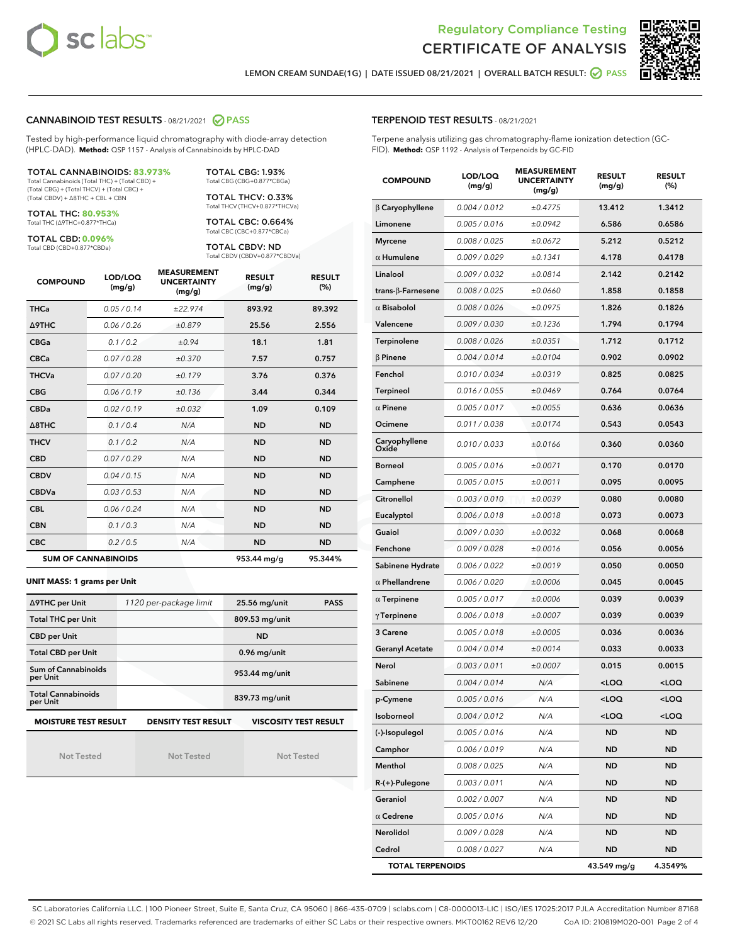



LEMON CREAM SUNDAE(1G) | DATE ISSUED 08/21/2021 | OVERALL BATCH RESULT: 2 PASS

#### CANNABINOID TEST RESULTS - 08/21/2021 2 PASS

Tested by high-performance liquid chromatography with diode-array detection (HPLC-DAD). **Method:** QSP 1157 - Analysis of Cannabinoids by HPLC-DAD

#### TOTAL CANNABINOIDS: **83.973%**

Total Cannabinoids (Total THC) + (Total CBD) + (Total CBG) + (Total THCV) + (Total CBC) + (Total CBDV) + ∆8THC + CBL + CBN

TOTAL THC: **80.953%** Total THC (∆9THC+0.877\*THCa)

TOTAL CBD: **0.096%** Total CBD (CBD+0.877\*CBDa)

TOTAL THCV: 0.33% Total THCV (THCV+0.877\*THCVa) TOTAL CBC: 0.664%

TOTAL CBG: 1.93% Total CBG (CBG+0.877\*CBGa)

Total CBC (CBC+0.877\*CBCa)

TOTAL CBDV: ND Total CBDV (CBDV+0.877\*CBDVa)

| <b>COMPOUND</b>  | LOD/LOQ<br>(mg/g)          | <b>MEASUREMENT</b><br><b>UNCERTAINTY</b><br>(mg/g) | <b>RESULT</b><br>(mg/g) | <b>RESULT</b><br>(%) |
|------------------|----------------------------|----------------------------------------------------|-------------------------|----------------------|
| <b>THCa</b>      | 0.05/0.14                  | ±22.974                                            | 893.92                  | 89.392               |
| <b>A9THC</b>     | 0.06/0.26                  | ±0.879                                             | 25.56                   | 2.556                |
| <b>CBGa</b>      | 0.1/0.2                    | ±0.94                                              | 18.1                    | 1.81                 |
| <b>CBCa</b>      | 0.07 / 0.28                | ±0.370                                             | 7.57                    | 0.757                |
| <b>THCVa</b>     | 0.07 / 0.20                | ±0.179                                             | 3.76                    | 0.376                |
| <b>CBG</b>       | 0.06/0.19                  | ±0.136                                             | 3.44                    | 0.344                |
| <b>CBDa</b>      | 0.02/0.19                  | ±0.032                                             | 1.09                    | 0.109                |
| $\triangle$ 8THC | 0.1 / 0.4                  | N/A                                                | <b>ND</b>               | <b>ND</b>            |
| <b>THCV</b>      | 0.1/0.2                    | N/A                                                | <b>ND</b>               | <b>ND</b>            |
| <b>CBD</b>       | 0.07/0.29                  | N/A                                                | <b>ND</b>               | <b>ND</b>            |
| <b>CBDV</b>      | 0.04 / 0.15                | N/A                                                | <b>ND</b>               | <b>ND</b>            |
| <b>CBDVa</b>     | 0.03/0.53                  | N/A                                                | <b>ND</b>               | <b>ND</b>            |
| <b>CBL</b>       | 0.06 / 0.24                | N/A                                                | <b>ND</b>               | <b>ND</b>            |
| <b>CBN</b>       | 0.1/0.3                    | N/A                                                | <b>ND</b>               | <b>ND</b>            |
| <b>CBC</b>       | 0.2 / 0.5                  | N/A                                                | <b>ND</b>               | <b>ND</b>            |
|                  | <b>SUM OF CANNABINOIDS</b> |                                                    | 953.44 mg/g             | 95.344%              |

#### **UNIT MASS: 1 grams per Unit**

| ∆9THC per Unit                                                                            | 1120 per-package limit | 25.56 mg/unit  | <b>PASS</b> |  |
|-------------------------------------------------------------------------------------------|------------------------|----------------|-------------|--|
| <b>Total THC per Unit</b>                                                                 |                        | 809.53 mg/unit |             |  |
| <b>CBD per Unit</b>                                                                       |                        | <b>ND</b>      |             |  |
| <b>Total CBD per Unit</b>                                                                 |                        | $0.96$ mg/unit |             |  |
| Sum of Cannabinoids<br>per Unit                                                           |                        | 953.44 mg/unit |             |  |
| <b>Total Cannabinoids</b><br>per Unit                                                     |                        | 839.73 mg/unit |             |  |
| <b>MOISTURE TEST RESULT</b><br><b>VISCOSITY TEST RESULT</b><br><b>DENSITY TEST RESULT</b> |                        |                |             |  |

Not Tested

Not Tested

Not Tested

#### TERPENOID TEST RESULTS - 08/21/2021

Terpene analysis utilizing gas chromatography-flame ionization detection (GC-FID). **Method:** QSP 1192 - Analysis of Terpenoids by GC-FID

| <b>COMPOUND</b>           | LOD/LOQ<br>(mg/g) | <b>MEASUREMENT</b><br><b>UNCERTAINTY</b><br>(mg/g) | <b>RESULT</b><br>(mg/g)                         | <b>RESULT</b><br>(%) |
|---------------------------|-------------------|----------------------------------------------------|-------------------------------------------------|----------------------|
| $\beta$ Caryophyllene     | 0.004 / 0.012     | ±0.4775                                            | 13.412                                          | 1.3412               |
| Limonene                  | 0.005 / 0.016     | ±0.0942                                            | 6.586                                           | 0.6586               |
| <b>Myrcene</b>            | 0.008 / 0.025     | ±0.0672                                            | 5.212                                           | 0.5212               |
| $\alpha$ Humulene         | 0.009 / 0.029     | ±0.1341                                            | 4.178                                           | 0.4178               |
| Linalool                  | 0.009 / 0.032     | ±0.0814                                            | 2.142                                           | 0.2142               |
| trans- $\beta$ -Farnesene | 0.008 / 0.025     | ±0.0660                                            | 1.858                                           | 0.1858               |
| $\alpha$ Bisabolol        | 0.008 / 0.026     | ±0.0975                                            | 1.826                                           | 0.1826               |
| Valencene                 | 0.009 / 0.030     | ±0.1236                                            | 1.794                                           | 0.1794               |
| Terpinolene               | 0.008 / 0.026     | ±0.0351                                            | 1.712                                           | 0.1712               |
| $\beta$ Pinene            | 0.004 / 0.014     | ±0.0104                                            | 0.902                                           | 0.0902               |
| Fenchol                   | 0.010 / 0.034     | ±0.0319                                            | 0.825                                           | 0.0825               |
| <b>Terpineol</b>          | 0.016 / 0.055     | ±0.0469                                            | 0.764                                           | 0.0764               |
| $\alpha$ Pinene           | 0.005 / 0.017     | ±0.0055                                            | 0.636                                           | 0.0636               |
| Ocimene                   | 0.011 / 0.038     | ±0.0174                                            | 0.543                                           | 0.0543               |
| Caryophyllene<br>Oxide    | 0.010 / 0.033     | ±0.0166                                            | 0.360                                           | 0.0360               |
| <b>Borneol</b>            | 0.005 / 0.016     | ±0.0071                                            | 0.170                                           | 0.0170               |
| Camphene                  | 0.005 / 0.015     | ±0.0011                                            | 0.095                                           | 0.0095               |
| Citronellol               | 0.003 / 0.010     | ±0.0039                                            | 0.080                                           | 0.0080               |
| Eucalyptol                | 0.006 / 0.018     | ±0.0018                                            | 0.073                                           | 0.0073               |
| Guaiol                    | 0.009 / 0.030     | ±0.0032                                            | 0.068                                           | 0.0068               |
| Fenchone                  | 0.009 / 0.028     | ±0.0016                                            | 0.056                                           | 0.0056               |
| Sabinene Hydrate          | 0.006 / 0.022     | ±0.0019                                            | 0.050                                           | 0.0050               |
| $\alpha$ Phellandrene     | 0.006 / 0.020     | ±0.0006                                            | 0.045                                           | 0.0045               |
| $\alpha$ Terpinene        | 0.005 / 0.017     | ±0.0006                                            | 0.039                                           | 0.0039               |
| $\gamma$ Terpinene        | 0.006 / 0.018     | ±0.0007                                            | 0.039                                           | 0.0039               |
| 3 Carene                  | 0.005 / 0.018     | ±0.0005                                            | 0.036                                           | 0.0036               |
| <b>Geranyl Acetate</b>    | 0.004 / 0.014     | ±0.0014                                            | 0.033                                           | 0.0033               |
| Nerol                     | 0.003 / 0.011     | ±0.0007                                            | 0.015                                           | 0.0015               |
| Sabinene                  | 0.004 / 0.014     | N/A                                                | <loq< th=""><th><loq< th=""></loq<></th></loq<> | <loq< th=""></loq<>  |
| p-Cymene                  | 0.005 / 0.016     | N/A                                                | <loq< th=""><th><loq< th=""></loq<></th></loq<> | <loq< th=""></loq<>  |
| Isoborneol                | 0.004 / 0.012     | N/A                                                | <loq< th=""><th><loq< th=""></loq<></th></loq<> | <loq< th=""></loq<>  |
| (-)-Isopulegol            | 0.005 / 0.016     | N/A                                                | ND                                              | ND                   |
| Camphor                   | 0.006 / 0.019     | N/A                                                | <b>ND</b>                                       | <b>ND</b>            |
| Menthol                   | 0.008 / 0.025     | N/A                                                | <b>ND</b>                                       | <b>ND</b>            |
| R-(+)-Pulegone            | 0.003 / 0.011     | N/A                                                | ND                                              | ND                   |
| Geraniol                  | 0.002 / 0.007     | N/A                                                | <b>ND</b>                                       | ND                   |
| $\alpha$ Cedrene          | 0.005 / 0.016     | N/A                                                | <b>ND</b>                                       | <b>ND</b>            |
| Nerolidol                 | 0.009 / 0.028     | N/A                                                | ND                                              | ND                   |
| Cedrol                    | 0.008 / 0.027     | N/A                                                | <b>ND</b>                                       | ND                   |
| <b>TOTAL TERPENOIDS</b>   |                   |                                                    | 43.549 mg/g                                     | 4.3549%              |

SC Laboratories California LLC. | 100 Pioneer Street, Suite E, Santa Cruz, CA 95060 | 866-435-0709 | sclabs.com | C8-0000013-LIC | ISO/IES 17025:2017 PJLA Accreditation Number 87168 © 2021 SC Labs all rights reserved. Trademarks referenced are trademarks of either SC Labs or their respective owners. MKT00162 REV6 12/20 CoA ID: 210819M020-001 Page 2 of 4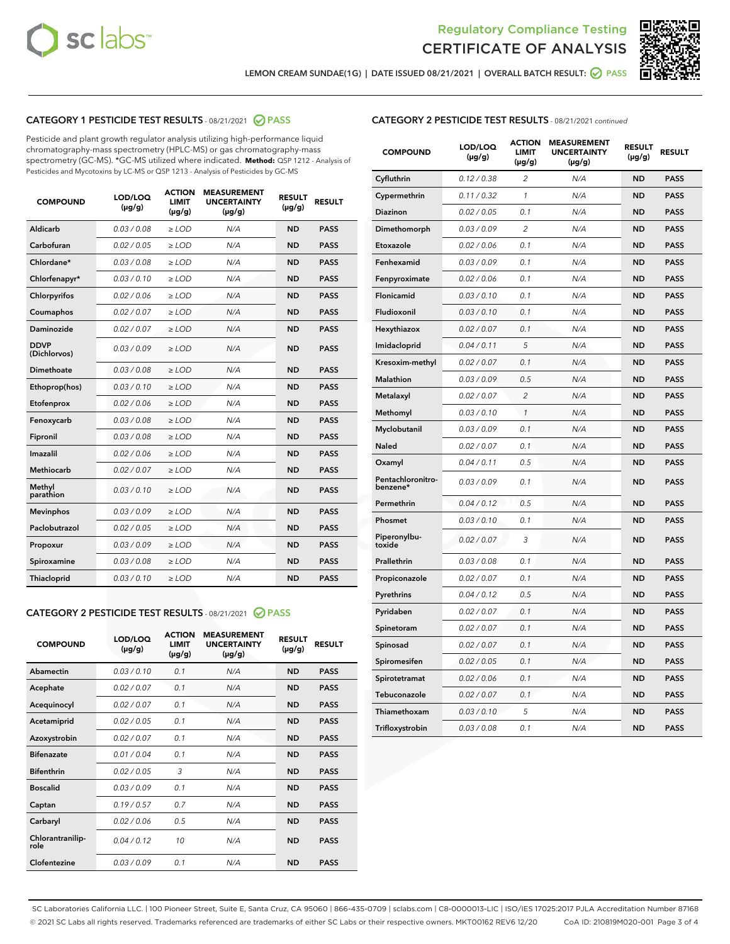



LEMON CREAM SUNDAE(1G) | DATE ISSUED 08/21/2021 | OVERALL BATCH RESULT:  $\bigcirc$  PASS

# CATEGORY 1 PESTICIDE TEST RESULTS - 08/21/2021 2 PASS

Pesticide and plant growth regulator analysis utilizing high-performance liquid chromatography-mass spectrometry (HPLC-MS) or gas chromatography-mass spectrometry (GC-MS). \*GC-MS utilized where indicated. **Method:** QSP 1212 - Analysis of Pesticides and Mycotoxins by LC-MS or QSP 1213 - Analysis of Pesticides by GC-MS

| <b>COMPOUND</b>             | LOD/LOQ<br>$(\mu g/g)$ | <b>ACTION</b><br><b>LIMIT</b><br>$(\mu g/g)$ | <b>MEASUREMENT</b><br><b>UNCERTAINTY</b><br>$(\mu g/g)$ | <b>RESULT</b><br>$(\mu g/g)$ | <b>RESULT</b> |
|-----------------------------|------------------------|----------------------------------------------|---------------------------------------------------------|------------------------------|---------------|
| Aldicarb                    | 0.03/0.08              | $\ge$ LOD                                    | N/A                                                     | <b>ND</b>                    | <b>PASS</b>   |
| Carbofuran                  | 0.02 / 0.05            | $\ge$ LOD                                    | N/A                                                     | <b>ND</b>                    | <b>PASS</b>   |
| Chlordane*                  | 0.03 / 0.08            | $\ge$ LOD                                    | N/A                                                     | <b>ND</b>                    | <b>PASS</b>   |
| Chlorfenapyr*               | 0.03/0.10              | $\ge$ LOD                                    | N/A                                                     | <b>ND</b>                    | <b>PASS</b>   |
| Chlorpyrifos                | 0.02 / 0.06            | $\ge$ LOD                                    | N/A                                                     | <b>ND</b>                    | <b>PASS</b>   |
| Coumaphos                   | 0.02 / 0.07            | $\ge$ LOD                                    | N/A                                                     | <b>ND</b>                    | <b>PASS</b>   |
| Daminozide                  | 0.02 / 0.07            | $>$ LOD                                      | N/A                                                     | <b>ND</b>                    | <b>PASS</b>   |
| <b>DDVP</b><br>(Dichlorvos) | 0.03/0.09              | $\geq$ LOD                                   | N/A                                                     | <b>ND</b>                    | <b>PASS</b>   |
| <b>Dimethoate</b>           | 0.03 / 0.08            | $\ge$ LOD                                    | N/A                                                     | <b>ND</b>                    | <b>PASS</b>   |
| Ethoprop(hos)               | 0.03/0.10              | $\ge$ LOD                                    | N/A                                                     | <b>ND</b>                    | <b>PASS</b>   |
| Etofenprox                  | 0.02 / 0.06            | $\ge$ LOD                                    | N/A                                                     | <b>ND</b>                    | <b>PASS</b>   |
| Fenoxycarb                  | 0.03 / 0.08            | $\geq$ LOD                                   | N/A                                                     | <b>ND</b>                    | <b>PASS</b>   |
| Fipronil                    | 0.03 / 0.08            | $\ge$ LOD                                    | N/A                                                     | <b>ND</b>                    | <b>PASS</b>   |
| Imazalil                    | 0.02 / 0.06            | $\geq$ LOD                                   | N/A                                                     | <b>ND</b>                    | <b>PASS</b>   |
| Methiocarb                  | 0.02 / 0.07            | $>$ LOD                                      | N/A                                                     | <b>ND</b>                    | <b>PASS</b>   |
| Methyl<br>parathion         | 0.03/0.10              | > LOD                                        | N/A                                                     | <b>ND</b>                    | <b>PASS</b>   |
| <b>Mevinphos</b>            | 0.03/0.09              | $\geq$ LOD                                   | N/A                                                     | <b>ND</b>                    | <b>PASS</b>   |
| Paclobutrazol               | 0.02 / 0.05            | $>$ LOD                                      | N/A                                                     | <b>ND</b>                    | <b>PASS</b>   |
| Propoxur                    | 0.03/0.09              | $\ge$ LOD                                    | N/A                                                     | <b>ND</b>                    | <b>PASS</b>   |
| Spiroxamine                 | 0.03 / 0.08            | $\geq$ LOD                                   | N/A                                                     | <b>ND</b>                    | <b>PASS</b>   |
| Thiacloprid                 | 0.03/0.10              | $\geq$ LOD                                   | N/A                                                     | <b>ND</b>                    | <b>PASS</b>   |

# CATEGORY 2 PESTICIDE TEST RESULTS - 08/21/2021 @ PASS

| <b>COMPOUND</b>          | LOD/LOQ<br>$(\mu g/g)$ | <b>ACTION</b><br><b>LIMIT</b><br>$(\mu g/g)$ | <b>MEASUREMENT</b><br><b>UNCERTAINTY</b><br>$(\mu g/g)$ | <b>RESULT</b><br>$(\mu g/g)$ | <b>RESULT</b> |
|--------------------------|------------------------|----------------------------------------------|---------------------------------------------------------|------------------------------|---------------|
| Abamectin                | 0.03/0.10              | 0.1                                          | N/A                                                     | <b>ND</b>                    | <b>PASS</b>   |
| Acephate                 | 0.02/0.07              | 0.1                                          | N/A                                                     | <b>ND</b>                    | <b>PASS</b>   |
| Acequinocyl              | 0.02/0.07              | 0.1                                          | N/A                                                     | <b>ND</b>                    | <b>PASS</b>   |
| Acetamiprid              | 0.02/0.05              | 0.1                                          | N/A                                                     | <b>ND</b>                    | <b>PASS</b>   |
| Azoxystrobin             | 0.02/0.07              | 0.1                                          | N/A                                                     | <b>ND</b>                    | <b>PASS</b>   |
| <b>Bifenazate</b>        | 0.01/0.04              | 0.1                                          | N/A                                                     | <b>ND</b>                    | <b>PASS</b>   |
| <b>Bifenthrin</b>        | 0.02/0.05              | 3                                            | N/A                                                     | <b>ND</b>                    | <b>PASS</b>   |
| <b>Boscalid</b>          | 0.03/0.09              | 0.1                                          | N/A                                                     | <b>ND</b>                    | <b>PASS</b>   |
| Captan                   | 0.19/0.57              | 0.7                                          | N/A                                                     | <b>ND</b>                    | <b>PASS</b>   |
| Carbaryl                 | 0.02/0.06              | 0.5                                          | N/A                                                     | <b>ND</b>                    | <b>PASS</b>   |
| Chlorantranilip-<br>role | 0.04/0.12              | 10                                           | N/A                                                     | <b>ND</b>                    | <b>PASS</b>   |
| Clofentezine             | 0.03/0.09              | 0.1                                          | N/A                                                     | <b>ND</b>                    | <b>PASS</b>   |

# CATEGORY 2 PESTICIDE TEST RESULTS - 08/21/2021 continued

| <b>COMPOUND</b>               | LOD/LOQ<br>(µg/g) | <b>ACTION</b><br><b>LIMIT</b><br>$(\mu g/g)$ | <b>MEASUREMENT</b><br><b>UNCERTAINTY</b><br>$(\mu g/g)$ | <b>RESULT</b><br>(µg/g) | <b>RESULT</b> |
|-------------------------------|-------------------|----------------------------------------------|---------------------------------------------------------|-------------------------|---------------|
| Cyfluthrin                    | 0.12 / 0.38       | $\overline{c}$                               | N/A                                                     | ND                      | <b>PASS</b>   |
| Cypermethrin                  | 0.11 / 0.32       | $\mathcal{I}$                                | N/A                                                     | ND                      | <b>PASS</b>   |
| <b>Diazinon</b>               | 0.02 / 0.05       | 0.1                                          | N/A                                                     | <b>ND</b>               | <b>PASS</b>   |
| Dimethomorph                  | 0.03 / 0.09       | 2                                            | N/A                                                     | ND                      | <b>PASS</b>   |
| Etoxazole                     | 0.02 / 0.06       | 0.1                                          | N/A                                                     | ND                      | <b>PASS</b>   |
| Fenhexamid                    | 0.03 / 0.09       | 0.1                                          | N/A                                                     | ND                      | <b>PASS</b>   |
| Fenpyroximate                 | 0.02 / 0.06       | 0.1                                          | N/A                                                     | <b>ND</b>               | <b>PASS</b>   |
| Flonicamid                    | 0.03 / 0.10       | 0.1                                          | N/A                                                     | ND                      | <b>PASS</b>   |
| Fludioxonil                   | 0.03 / 0.10       | 0.1                                          | N/A                                                     | ND                      | <b>PASS</b>   |
| Hexythiazox                   | 0.02 / 0.07       | 0.1                                          | N/A                                                     | ND                      | <b>PASS</b>   |
| Imidacloprid                  | 0.04 / 0.11       | 5                                            | N/A                                                     | ND                      | <b>PASS</b>   |
| Kresoxim-methyl               | 0.02 / 0.07       | 0.1                                          | N/A                                                     | ND                      | <b>PASS</b>   |
| Malathion                     | 0.03 / 0.09       | 0.5                                          | N/A                                                     | <b>ND</b>               | <b>PASS</b>   |
| Metalaxyl                     | 0.02 / 0.07       | $\overline{c}$                               | N/A                                                     | ND                      | <b>PASS</b>   |
| Methomyl                      | 0.03 / 0.10       | 1                                            | N/A                                                     | ND                      | <b>PASS</b>   |
| Myclobutanil                  | 0.03 / 0.09       | 0.1                                          | N/A                                                     | <b>ND</b>               | <b>PASS</b>   |
| Naled                         | 0.02 / 0.07       | 0.1                                          | N/A                                                     | ND                      | <b>PASS</b>   |
| Oxamyl                        | 0.04 / 0.11       | 0.5                                          | N/A                                                     | ND                      | <b>PASS</b>   |
| Pentachloronitro-<br>benzene* | 0.03 / 0.09       | 0.1                                          | N/A                                                     | ND                      | <b>PASS</b>   |
| Permethrin                    | 0.04 / 0.12       | 0.5                                          | N/A                                                     | ND                      | <b>PASS</b>   |
| Phosmet                       | 0.03 / 0.10       | 0.1                                          | N/A                                                     | ND                      | <b>PASS</b>   |
| Piperonylbu-<br>toxide        | 0.02 / 0.07       | 3                                            | N/A                                                     | ND                      | <b>PASS</b>   |
| Prallethrin                   | 0.03 / 0.08       | 0.1                                          | N/A                                                     | ND                      | <b>PASS</b>   |
| Propiconazole                 | 0.02 / 0.07       | 0.1                                          | N/A                                                     | ND                      | <b>PASS</b>   |
| Pyrethrins                    | 0.04 / 0.12       | 0.5                                          | N/A                                                     | ND                      | <b>PASS</b>   |
| Pyridaben                     | 0.02 / 0.07       | 0.1                                          | N/A                                                     | <b>ND</b>               | <b>PASS</b>   |
| Spinetoram                    | 0.02 / 0.07       | 0.1                                          | N/A                                                     | ND                      | <b>PASS</b>   |
| Spinosad                      | 0.02 / 0.07       | 0.1                                          | N/A                                                     | ND                      | <b>PASS</b>   |
| Spiromesifen                  | 0.02 / 0.05       | 0.1                                          | N/A                                                     | <b>ND</b>               | <b>PASS</b>   |
| Spirotetramat                 | 0.02 / 0.06       | 0.1                                          | N/A                                                     | ND                      | <b>PASS</b>   |
| Tebuconazole                  | 0.02 / 0.07       | 0.1                                          | N/A                                                     | ND                      | <b>PASS</b>   |
| Thiamethoxam                  | 0.03 / 0.10       | 5                                            | N/A                                                     | <b>ND</b>               | <b>PASS</b>   |
| Trifloxystrobin               | 0.03 / 0.08       | 0.1                                          | N/A                                                     | <b>ND</b>               | <b>PASS</b>   |

SC Laboratories California LLC. | 100 Pioneer Street, Suite E, Santa Cruz, CA 95060 | 866-435-0709 | sclabs.com | C8-0000013-LIC | ISO/IES 17025:2017 PJLA Accreditation Number 87168 © 2021 SC Labs all rights reserved. Trademarks referenced are trademarks of either SC Labs or their respective owners. MKT00162 REV6 12/20 CoA ID: 210819M020-001 Page 3 of 4